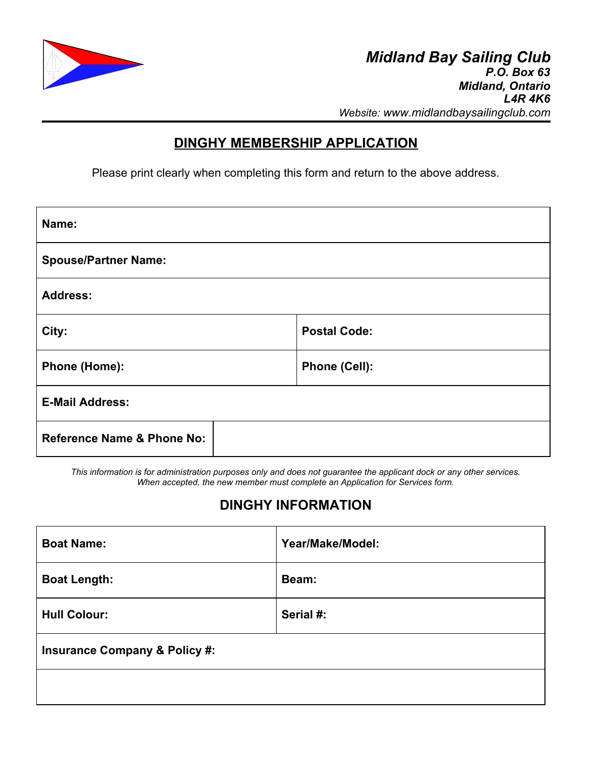

## **DINGHY MEMBERSHIP APPLICATION**

Please print clearly when completing this form and return to the above address.

| Name:                                 |                     |  |
|---------------------------------------|---------------------|--|
| <b>Spouse/Partner Name:</b>           |                     |  |
| <b>Address:</b>                       |                     |  |
| City:                                 | <b>Postal Code:</b> |  |
| Phone (Home):                         | Phone (Cell):       |  |
| <b>E-Mail Address:</b>                |                     |  |
| <b>Reference Name &amp; Phone No:</b> |                     |  |

*This information is for administration purposes only and does not guarantee the applicant dock or any other services. When accepted, the new member must complete an Application for Services form.*

# **DINGHY INFORMATION**

| <b>Boat Name:</b>                        | Year/Make/Model: |
|------------------------------------------|------------------|
| <b>Boat Length:</b>                      | Beam:            |
| <b>Hull Colour:</b>                      | Serial #:        |
| <b>Insurance Company &amp; Policy #:</b> |                  |
|                                          |                  |